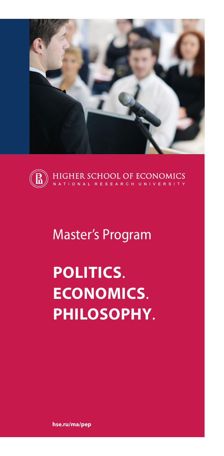



# Master's Program

# **POLITICS**. **ECONOMICS**. **PHILOSOPHY**.

**hse.ru/ma/pep**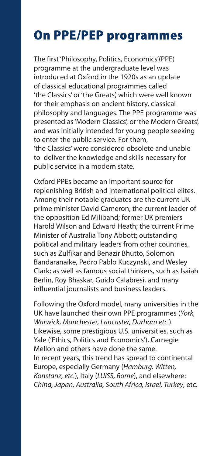### On PPE/PEP programmes

The first 'Philosophy, Politics, Economics'(PPE) programme at the undergraduate level was introduced at Oxford in the 1920s as an update of classical educational programmes called 'the Classics' or 'the Greats', which were well known for their emphasis on ancient history, classical philosophy and languages. The PPE programme was presented as 'Modern Classics', or 'the Modern Greats', and was initially intended for young people seeking to enter the public service. For them, 'the Classics' were considered obsolete and unable to deliver the knowledge and skills necessary for public service in a modern state.

Oxford PPEs became an important source for replenishing British and international political elites. Among their notable graduates are the current UK prime minister David Cameron; the current leader of the opposition Ed Miliband; former UK premiers Harold Wilson and Edward Heath; the current Prime Minister of Australia Tony Abbott; outstanding political and military leaders from other countries, such as Zulfikar and Benazir Bhutto, Solomon Bandaranaike, Pedro Pablo Kuczynski, and Wesley Clark; as well as famous social thinkers, such as Isaiah Berlin, Roy Bhaskar, Guido Calabresi, and many influential journalists and business leaders.

Following the Oxford model, many universities in the UK have launched their own PPE programmes (*York, Warwick, Manchester, Lancaster, Durham etc.*). Likewise, some prestigious U.S. universities, such as Yale ('Ethics, Politics and Economics'), Carnegie Mellon and others have done the same. In recent years, this trend has spread to continental Europe, especially Germany (*Hamburg, Witten, Konstanz, etc.*), Italy (*LUISS, Rome*), and elsewhere: *China, Japan, Australia, South Africa, Israel, Turkey*, etc.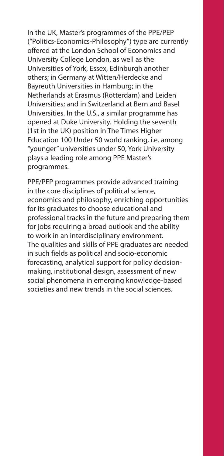In the UK, Master's programmes of the PPE/PEP ("Politics-Economics-Philosophy") type are currently offered at the London School of Economics and University College London, as well as the Universities of York, Essex, Edinburgh another others; in Germany at Witten/Herdecke and Bayreuth Universities in Hamburg; in the Netherlands at Erasmus (Rotterdam) and Leiden Universities; and in Switzerland at Bern and Basel Universities. In the U.S., a similar programme has opened at Duke University. Holding the seventh (1st in the UK) position in The Times Higher Education 100 Under 50 world ranking, i.e. among "younger" universities under 50, York University plays a leading role among PPE Master's programmes.

PPE/PEP programmes provide advanced training in the core disciplines of political science, economics and philosophy, enriching opportunities for its graduates to choose educational and professional tracks in the future and preparing them for jobs requiring a broad outlook and the ability to work in an interdisciplinary environment. The qualities and skills of PPE graduates are needed in such fields as political and socio-economic forecasting, analytical support for policy decisionmaking, institutional design, assessment of new social phenomena in emerging knowledge-based societies and new trends in the social sciences.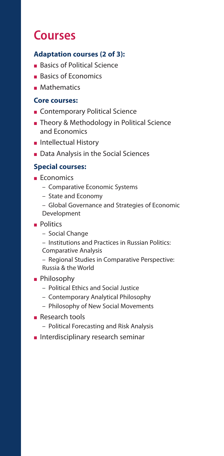### **Courses**

### **Adaptation courses (2 of 3):**

- **Basics of Political Science**
- **Basics of Economics**<br>**B** Mathematics
- 

# - Mathematics **Core courses:**

- 
- Contemporary Political Science<br>■ Theory & Methodology in Politi - Theory & Methodology in Political Science and Economics
- 
- **Notal Extellectual History**<br>Data Analysis in the **Data Analysis in the Social Sciences**<br>**Special courses:**

#### **Special courses:**

- **Economics** 
	- Comparative Economic Systems
	- State and Economy
	- Global Governance and Strategies of Economic Development
- **Politics** 
	- Social Change
	- Institutions and Practices in Russian Politics: Comparative Analysis
	- Regional Studies in Comparative Perspective: Russia & the World
- **Philosophy** 
	- Political Ethics and Social Justice
	- Contemporary Analytical Philosophy
	- Philosophy of New Social Movements
- 
- Research tools Political Forecasting and Risk Analysis
- Interdisciplinary research seminar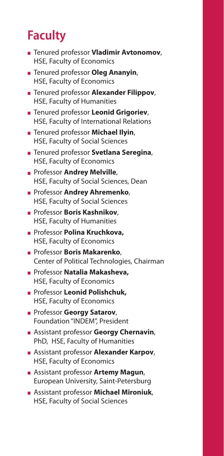# **Faculty**

- Tenured professor **Vladimir Avtonomov**, HSE, Faculty of Economics
- Tenured professor **Oleg Ananyin**, HSE, Faculty of Economics
- Tenured professor **Alexander Filippov**, HSE, Faculty of Humanities
- Tenured professor **Leonid Grigoriev**, HSE, Faculty of International Relations
- Tenured professor **Michael Ilyin**, HSE, Faculty of Social Sciences
- **Example 3 Tenured professor Svetlana Seregina,<br>HSE, Faculty of Economics<br>Professor Andrey Melville,** HSE, Faculty of Economics
- Professor **Andrey Melville**, HSE, Faculty of Social Sciences, Dean
- Professor **Andrey Ahremenko**, HSE, Faculty of Social Sciences
- Professor **Boris Kashnikov**, HSE, Faculty of Humanities
- **Example Frofessor Polina Kruchkova,<br>HSE, Faculty of Economics<br><b>Example Frofessor Boris Makarenko**, HSE, Faculty of Economics
- Professor **Boris Makarenko**, Center of Political Technologies, Chairman
- Professor **Natalia Makasheva,** HSE, Faculty of Economics
- Professor **Leonid Polishchuk,** HSE, Faculty of Economics
- Professor **Georgy Satarov**, Foundation "INDEM", President
- Assistant professor **Georgy Chernavin**, PhD, HSE, Faculty of Humanities
- Assistant professor **Alexander Karpov**, HSE, Faculty of Economics
- Assistant professor **Аrtemy Magun**, European University, Saint-Petersburg
- Assistant professor **Michael Mironiuk**, HSE, Faculty of Social Sciences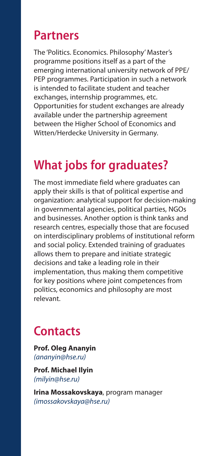### **Partners**

The 'Politics. Economics. Philosophy' Master's programme positions itself as a part of the emerging international university network of PPE/ PEP programmes. Participation in such a network is intended to facilitate student and teacher exchanges, internship programmes, etc. Opportunities for student exchanges are already available under the partnership agreement between the Higher School of Economics and Witten/Herdecke University in Germany.

### **What jobs for graduates?**

The most immediate field where graduates can apply their skills is that of political expertise and organization: analytical support for decision-making in governmental agencies, political parties, NGOs and businesses. Another option is think tanks and research centres, especially those that are focused on interdisciplinary problems of institutional reform and social policy. Extended training of graduates allows them to prepare and initiate strategic decisions and take a leading role in their implementation, thus making them competitive for key positions where joint competences from politics, economics and philosophy are most relevant.

### **Contacts**

**Prof. Oleg Ananyin** *(ananyin@hse.ru)*

**Prof. Michael Ilyin** *(milyin@hse.ru)*

**Irina Mossakovskaya**, program manager *(imossakovskaya@hse.ru)*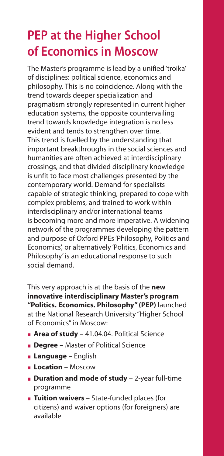# **PEP at the Higher School of Economics in Moscow**

The Master's programme is lead by a unified 'troika' of disciplines: political science, economics and philosophy. This is no coincidence. Along with the trend towards deeper specialization and pragmatism strongly represented in current higher education systems, the opposite countervailing trend towards knowledge integration is no less evident and tends to strengthen over time. This trend is fuelled by the understanding that important breakthroughs in the social sciences and humanities are often achieved at interdisciplinary crossings, and that divided disciplinary knowledge is unfit to face most challenges presented by the contemporary world. Demand for specialists capable of strategic thinking, prepared to cope with complex problems, and trained to work within interdisciplinary and/or international teams is becoming more and more imperative. A widening network of the programmes developing the pattern and purpose of Oxford PPEs 'Philosophy, Politics and Economics', or alternatively 'Politics, Economics and Philosophy' is an educational response to such social demand.

This very approach is at the basis of the **new innovative interdisciplinary Master's program "Politics. Economics. Philosophy" (PEP)** launched at the National Research University "Higher School of Economics" in Moscow:

- **Area of study** 41.04.04. Political Science
- **Degree** Master of Political Science
- **Language** English
- 
- **Location** Moscow - **Duration and mode of study** – 2-year full-time programme
- **Tuition waivers** State-funded places (for citizens) and waiver options (for foreigners) are available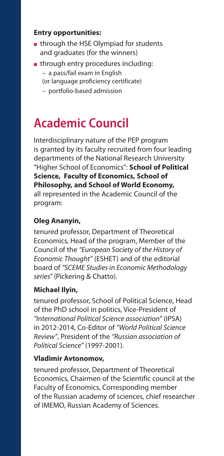#### **Entry opportunities:**

- $\blacksquare$  through the HSE Olympiad for students and graduates (for the winners)
- through entry procedures including: – a pass/fail exam in English (or language proficiency certificate)
	- portfolio-based admission

# **Academic Council**

Interdisciplinary nature of the PEP program is granted by its faculty recruited from four leading departments of the National Research University "Higher School of Economics": **School of Political Science, Faculty of Economics, School of Philosophy, and School of World Economy,** all represented in the Academic Council of the program:

### **Oleg Ananyin,**

tenured professor, Department of Theoretical Economics, Head of the program, Member of the Council of the *"European Society of the History of Economic Thought"* (ESHET) and of the editorial board of *"SCEME Studies in Economic Methodology series*" (Pickering & Chatto).

### **Michael Ilyin,**

tenured professor, School of Political Science, Head of the PhD school in politics, Vice-President of *"International Political Science association"* (IPSA) in 2012-2014, Co-Editor of *"World Political Science Review"*, President of the *"Russian association of Political Science"* (1997-2001).

#### **Vladimir Avtonomov,**

tenured professor, Department of Theoretical Economics, Chairmen of the Scientific council at the Faculty of Economics, Corresponding member of the Russian academy of sciences, chief researcher of IMEMO, Russian Academy of Sciences.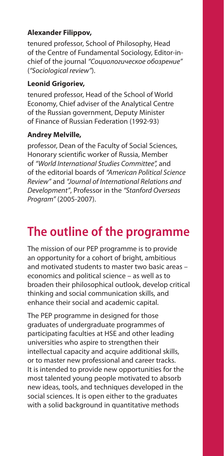### **Alexander Filippov,**

tenured professor, School of Philosophy, Head of the Centre of Fundamental Sociology, Editor-inchief of the journal *"Социологическое обозрение"* (*"Sociological review"*).

### **Leonid Grigoriev,**

tenured professor, Head of the School of World Economy, Chief adviser of the Analytical Centre of the Russian government, Deputy Minister of Finance of Russian Federation (1992-93)

### **Andrey Melville,**

professor, Dean of the Faculty of Social Sciences, Honorary scientific worker of Russia, Member of *"World International Studies Committee",* and of the editorial boards of *"American Political Science Review"* and *"Journal of International Relations and Development"*, Professor in the *"Stanford Overseas Program"* (2005-2007).

### **The outline of the programme**

The mission of our PEP programme is to provide an opportunity for a cohort of bright, ambitious and motivated students to master two basic areas – economics and political science – as well as to broaden their philosophical outlook, develop critical thinking and social communication skills, and enhance their social and academic capital.

The PEP programme in designed for those graduates of undergraduate programmes of participating faculties at HSE and other leading universities who aspire to strengthen their intellectual capacity and acquire additional skills, or to master new professional and career tracks. It is intended to provide new opportunities for the most talented young people motivated to absorb new ideas, tools, and techniques developed in the social sciences. It is open either to the graduates with a solid background in quantitative methods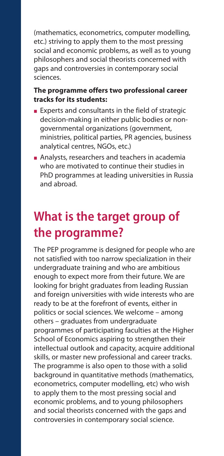(mathematics, econometrics, computer modelling, etc.) striving to apply them to the most pressing social and economic problems, as well as to young philosophers and social theorists concerned with gaps and controversies in contemporary social sciences.

#### **The programme offers two professional career tracks for its students:**

- Experts and consultants in the field of strategic decision-making in either public bodies or nongovernmental organizations (government, ministries, political parties, PR agencies, business analytical centres, NGOs, etc.)
- Analysts, researchers and teachers in academia who are motivated to continue their studies in PhD programmes at leading universities in Russia and abroad.

# **What is the target group of the programme?**

The PEP programme is designed for people who are not satisfied with too narrow specialization in their undergraduate training and who are ambitious enough to expect more from their future. We are looking for bright graduates from leading Russian and foreign universities with wide interests who are ready to be at the forefront of events, either in politics or social sciences. We welcome – among others – graduates from undergraduate programmes of participating faculties at the Higher School of Economics aspiring to strengthen their intellectual outlook and capacity, acquire additional skills, or master new professional and career tracks. The programme is also open to those with a solid background in quantitative methods (mathematics, econometrics, computer modelling, etc) who wish to apply them to the most pressing social and economic problems, and to young philosophers and social theorists concerned with the gaps and controversies in contemporary social science.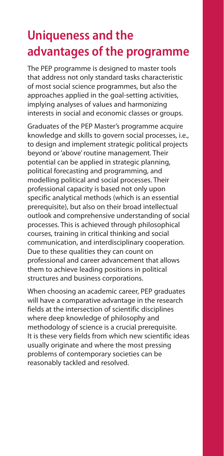# **Uniqueness and the advantages of the programme**

The PEP programme is designed to master tools that address not only standard tasks characteristic of most social science programmes, but also the approaches applied in the goal-setting activities, implying analyses of values and harmonizing interests in social and economic classes or groups.

Graduates of the PEP Master's programme acquire knowledge and skills to govern social processes, i.e., to design and implement strategic political projects beyond or 'above' routine management. Their potential can be applied in strategic planning, political forecasting and programming, and modelling political and social processes. Their professional capacity is based not only upon specific analytical methods (which is an essential prerequisite), but also on their broad intellectual outlook and comprehensive understanding of social processes. This is achieved through philosophical courses, training in critical thinking and social communication, and interdisciplinary cooperation. Due to these qualities they can count on professional and career advancement that allows them to achieve leading positions in political structures and business corporations.

When choosing an academic career, PEP graduates will have a comparative advantage in the research fields at the intersection of scientific disciplines where deep knowledge of philosophy and methodology of science is a crucial prerequisite. It is these very fields from which new scientific ideas usually originate and where the most pressing problems of contemporary societies can be reasonably tackled and resolved.